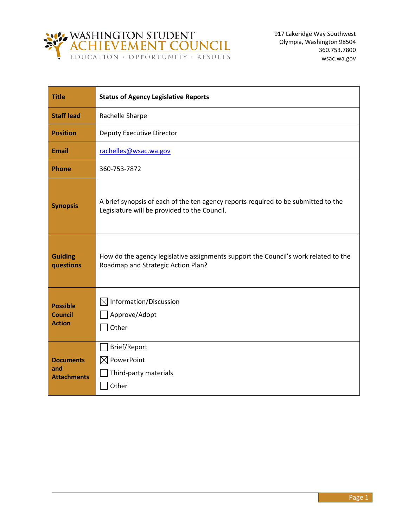

| <b>Title</b>                                       | <b>Status of Agency Legislative Reports</b>                                                                                        |  |  |  |
|----------------------------------------------------|------------------------------------------------------------------------------------------------------------------------------------|--|--|--|
| <b>Staff lead</b>                                  | Rachelle Sharpe                                                                                                                    |  |  |  |
| <b>Position</b>                                    | <b>Deputy Executive Director</b>                                                                                                   |  |  |  |
| Email                                              | rachelles@wsac.wa.gov                                                                                                              |  |  |  |
| <b>Phone</b>                                       | 360-753-7872                                                                                                                       |  |  |  |
| <b>Synopsis</b>                                    | A brief synopsis of each of the ten agency reports required to be submitted to the<br>Legislature will be provided to the Council. |  |  |  |
| <b>Guiding</b><br>questions                        | How do the agency legislative assignments support the Council's work related to the<br>Roadmap and Strategic Action Plan?          |  |  |  |
| <b>Possible</b><br><b>Council</b><br><b>Action</b> | $\boxtimes$ Information/Discussion<br>Approve/Adopt<br>Other                                                                       |  |  |  |
| <b>Documents</b><br>and<br><b>Attachments</b>      | Brief/Report<br>PowerPoint<br>$\boxtimes$<br>Third-party materials<br>Other                                                        |  |  |  |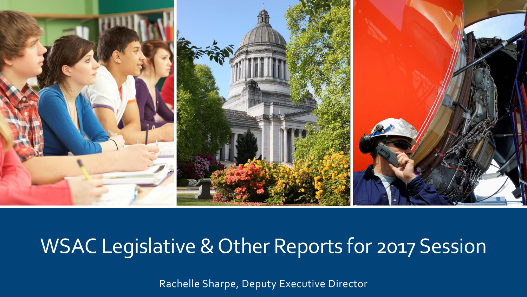

## WSAC Legislative & Other Reports for 2017 Session

Rachelle Sharpe, Deputy Executive Director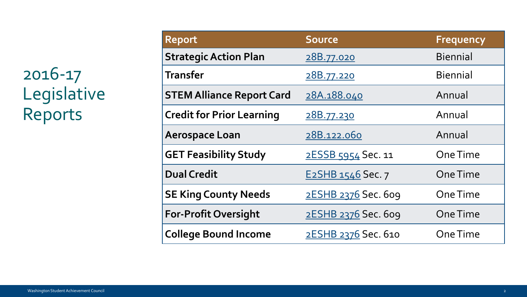## 2016-17 Legislative Reports

| <b>Report</b>                    | <b>Source</b>       | <b>Frequency</b> |
|----------------------------------|---------------------|------------------|
| <b>Strategic Action Plan</b>     | <u>28B.77.020</u>   | <b>Biennial</b>  |
| <b>Transfer</b>                  | 28B.77.220          | <b>Biennial</b>  |
| <b>STEM Alliance Report Card</b> | 28A.188.040         | Annual           |
| <b>Credit for Prior Learning</b> | <u>28B.77.230</u>   | Annual           |
| <b>Aerospace Loan</b>            | 28B.122.060         | Annual           |
| <b>GET Feasibility Study</b>     | 2ESSB 5954 Sec. 11  | One Time         |
| <b>Dual Credit</b>               | E2SHB 1546 Sec. 7   | <b>One Time</b>  |
| <b>SE King County Needs</b>      | 2ESHB 2376 Sec. 609 | <b>One Time</b>  |
| <b>For-Profit Oversight</b>      | 2ESHB 2376 Sec. 609 | One Time         |
| <b>College Bound Income</b>      | 2ESHB 2376 Sec. 610 | One Time         |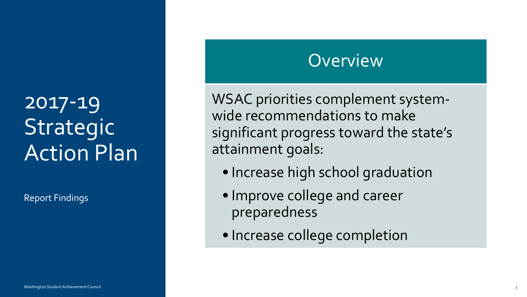## 2017-19 Strategic Action Plan

Report Findings

### **Overview**

WSAC priorities complement systemwide recommendations to make significant progress toward the state's attainment goals:

- Increase high school graduation
- Improve college and career preparedness
- Increase college completion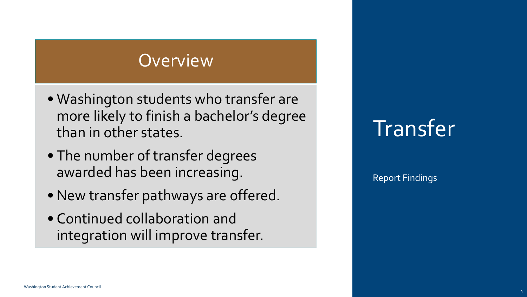- Washington students who transfer are more likely to finish a bachelor's degree than in other states.
- The number of transfer degrees awarded has been increasing.
- New transfer pathways are offered.
- Continued collaboration and integration will improve transfer.

## Transfer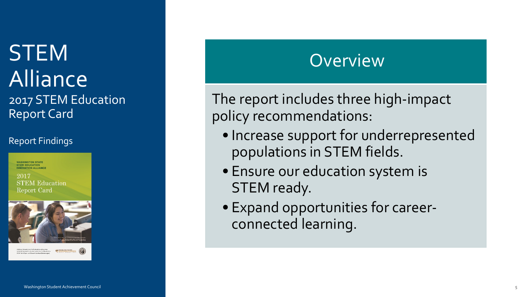## **STEM** Alliance 2017 STEM Education Report Card

#### Report Findings

**WASHINGTON STATE**<br>STEM EDUCATION NOVATION ALLIANCE

2017 **STEM Education** Report Card





#### **Overview**

The report includes three high-impact policy recommendations:

- Increase support for underrepresented populations in STEM fields.
- Ensure our education system is STEM ready.
- Expand opportunities for careerconnected learning.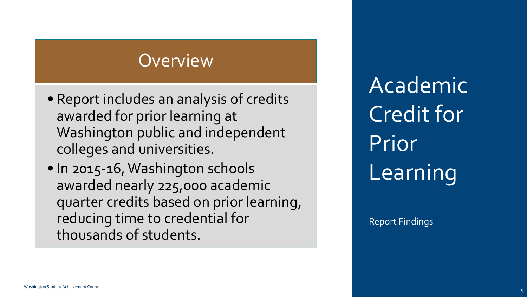- Report includes an analysis of credits awarded for prior learning at Washington public and independent colleges and universities.
- In 2015-16, Washington schools awarded nearly 225,000 academic quarter credits based on prior learning, reducing time to credential for thousands of students.

Academic Credit for Prior Learning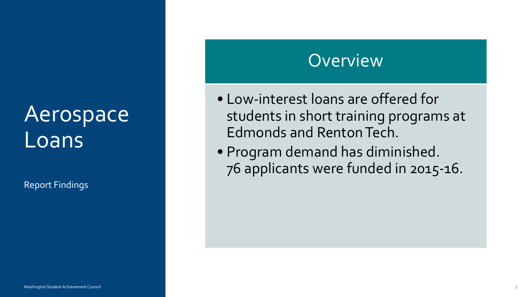## Aerospace Loans

Report Findings

#### **Overview**

- Low-interest loans are offered for students in short training programs at Edmonds and Renton Tech.
- Program demand has diminished. 76 applicants were funded in 2015-16.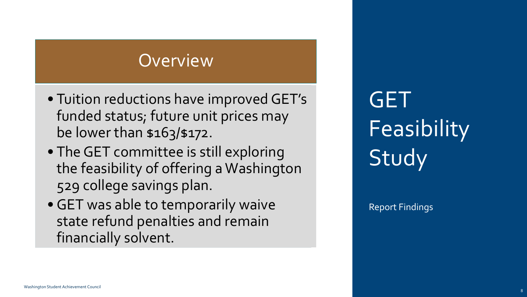- Tuition reductions have improved GET's funded status; future unit prices may be lower than \$163/\$172.
- The GET committee is still exploring the feasibility of offering a Washington 529 college savings plan.
- GET was able to temporarily waive state refund penalties and remain financially solvent.

GET **Feasibility** Study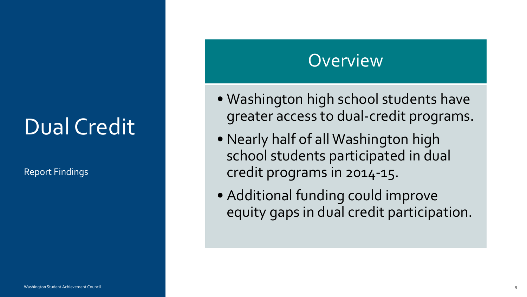## Dual Credit

Report Findings

#### **Overview**

- Washington high school students have greater access to dual-credit programs.
- Nearly half of all Washington high school students participated in dual credit programs in 2014-15.
- Additional funding could improve equity gaps in dual credit participation.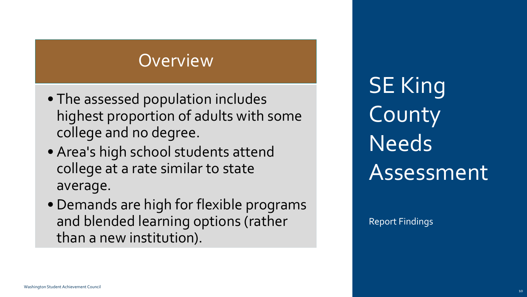- The assessed population includes highest proportion of adults with some college and no degree.
- Area's high school students attend college at a rate similar to state average.
- Demands are high for flexible programs and blended learning options (rather than a new institution).

**SE King** County Needs Assessment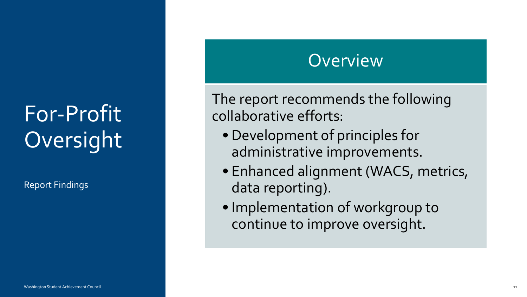# For-Profit Oversight

Report Findings

#### **Overview**

The report recommends the following collaborative efforts:

- Development of principles for administrative improvements.
- Enhanced alignment (WACS, metrics, data reporting).
- Implementation of workgroup to continue to improve oversight.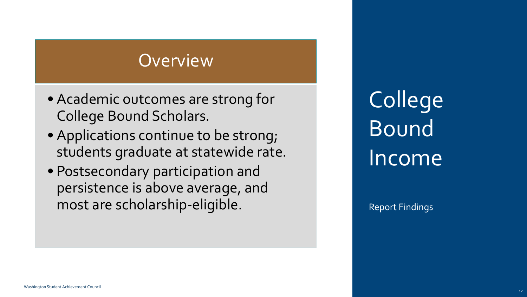- Academic outcomes are strong for College Bound Scholars.
- Applications continue to be strong; students graduate at statewide rate.
- Postsecondary participation and persistence is above average, and most are scholarship-eligible.

**College** Bound Income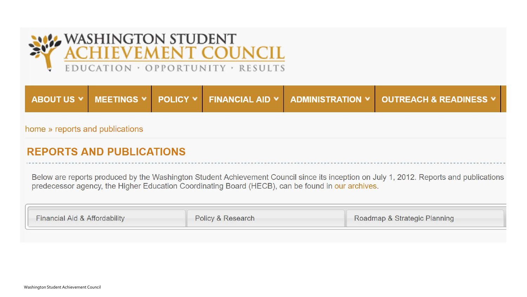

|  |  | ABOUT US Y MEETINGS Y POLICY Y FINANCIAL AID Y ADMINISTRATION Y OUTREACH & READINESS Y |
|--|--|----------------------------------------------------------------------------------------|
|  |  |                                                                                        |

home » reports and publications

#### **REPORTS AND PUBLICATIONS**

Below are reports produced by the Washington Student Achievement Council since its inception on July 1, 2012. Reports and publications predecessor agency, the Higher Education Coordinating Board (HECB), can be found in our archives.

| Financial Aid & Affordability | Policy & Research | Roadmap & Strategic Planning |
|-------------------------------|-------------------|------------------------------|